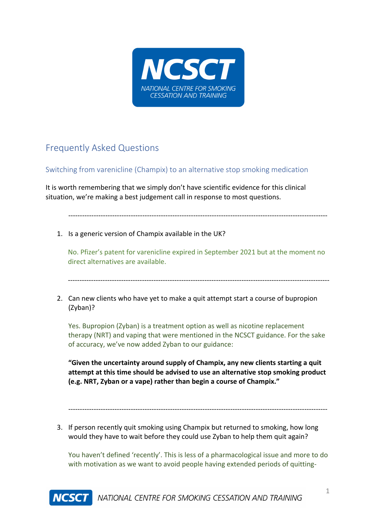

## Frequently Asked Questions

## Switching from varenicline (Champix) to an alternative stop smoking medication

It is worth remembering that we simply don't have scientific evidence for this clinical situation, we're making a best judgement call in response to most questions.

----------------------------------------------------------------------------------------------------------------

1. Is a generic version of Champix available in the UK?

No. Pfizer's patent for varenicline expired in September 2021 but at the moment no direct alternatives are available.

-----------------------------------------------------------------------------------------------------------------

2. Can new clients who have yet to make a quit attempt start a course of bupropion (Zyban)?

Yes. Bupropion (Zyban) is a treatment option as well as nicotine replacement therapy (NRT) and vaping that were mentioned in the NCSCT guidance. For the sake of accuracy, we've now added Zyban to our guidance:

**"Given the uncertainty around supply of Champix, any new clients starting a quit attempt at this time should be advised to use an alternative stop smoking product (e.g. NRT, Zyban or a vape) rather than begin a course of Champix."**

----------------------------------------------------------------------------------------------------------------

3. If person recently quit smoking using Champix but returned to smoking, how long would they have to wait before they could use Zyban to help them quit again?

You haven't defined 'recently'. This is less of a pharmacological issue and more to do with motivation as we want to avoid people having extended periods of quitting-

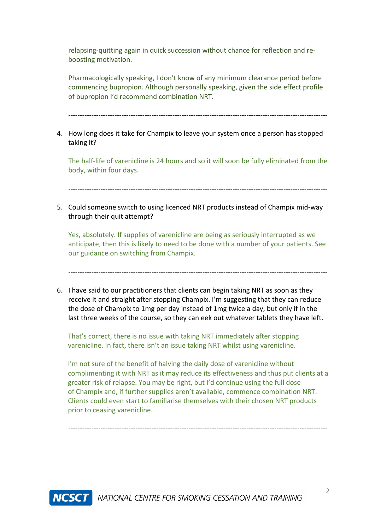relapsing-quitting again in quick succession without chance for reflection and reboosting motivation.

Pharmacologically speaking, I don't know of any minimum clearance period before commencing bupropion. Although personally speaking, given the side effect profile of bupropion I'd recommend combination NRT.

----------------------------------------------------------------------------------------------------------------

## 4. How long does it take for Champix to leave your system once a person has stopped taking it?

The half-life of varenicline is 24 hours and so it will soon be fully eliminated from the body, within four days.

----------------------------------------------------------------------------------------------------------------

5. Could someone switch to using licenced NRT products instead of Champix mid-way through their quit attempt?

Yes, absolutely. If supplies of varenicline are being as seriously interrupted as we anticipate, then this is likely to need to be done with a number of your patients. See our guidance on switching from Champix.

----------------------------------------------------------------------------------------------------------------

6. I have said to our practitioners that clients can begin taking NRT as soon as they receive it and straight after stopping Champix. I'm suggesting that they can reduce the dose of Champix to 1mg per day instead of 1mg twice a day, but only if in the last three weeks of the course, so they can eek out whatever tablets they have left.

That's correct, there is no issue with taking NRT immediately after stopping varenicline. In fact, there isn't an issue taking NRT whilst using varenicline.

I'm not sure of the benefit of halving the daily dose of varenicline without complimenting it with NRT as it may reduce its effectiveness and thus put clients at a greater risk of relapse. You may be right, but I'd continue using the full dose of Champix and, if further supplies aren't available, commence combination NRT. Clients could even start to familiarise themselves with their chosen NRT products prior to ceasing varenicline.

----------------------------------------------------------------------------------------------------------------